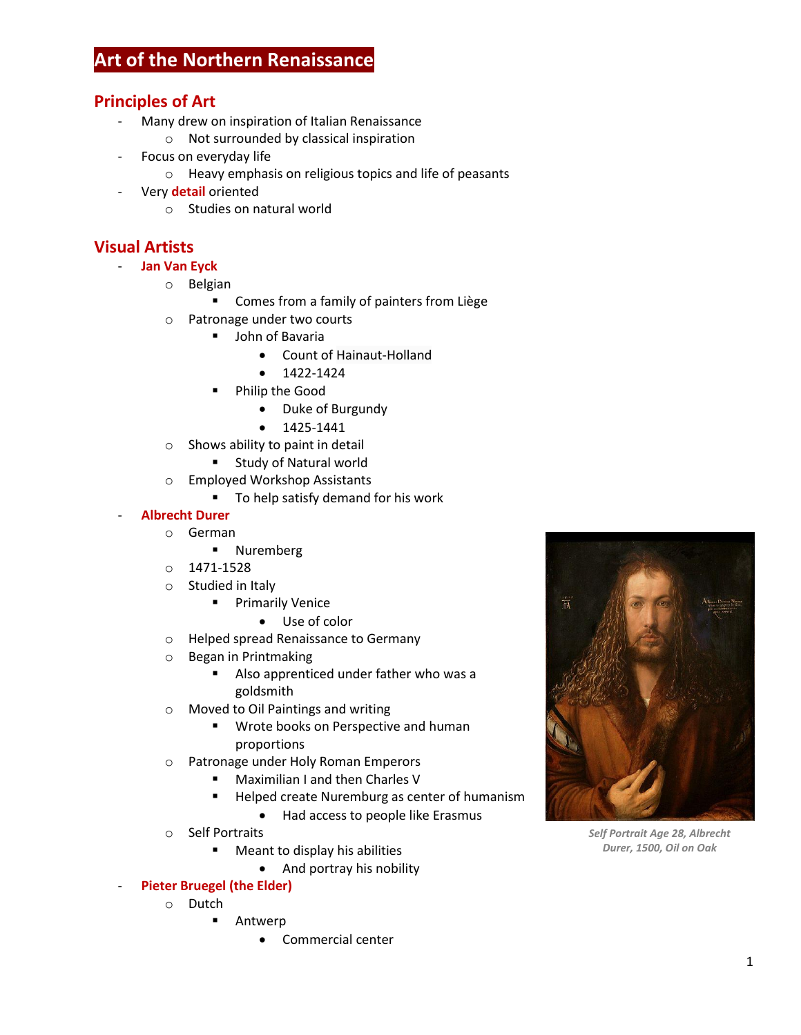# **Art of the Northern Renaissance**

## **Principles of Art**

- Many drew on inspiration of Italian Renaissance
	- o Not surrounded by classical inspiration
- Focus on everyday life
	- o Heavy emphasis on religious topics and life of peasants
- Very **detail** oriented
	- o Studies on natural world

## **Visual Artists**

- **Jan Van Eyck**
	- o Belgian
		- **EXP** Comes from a family of painters from Liège
	- o Patronage under two courts
		- **•** John of Bavaria
			- Count of Hainaut-Holland
			- $1422 1424$
			- Philip the Good
				- Duke of Burgundy
				- $1425 1441$
	- o Shows ability to paint in detail
		- **Example 3 Study of Natural world**
	- o Employed Workshop Assistants
		- To help satisfy demand for his work

#### - **Albrecht Durer**

- o German
	- **Nuremberg**
- o 1471-1528
- o Studied in Italy
	- **Primarily Venice** 
		- Use of color
- o Helped spread Renaissance to Germany
- o Began in Printmaking
	- Also apprenticed under father who was a goldsmith
- o Moved to Oil Paintings and writing
	- **Wrote books on Perspective and human** proportions
- o Patronage under Holy Roman Emperors
	- Maximilian I and then Charles V
	- **Helped create Nuremburg as center of humanism** 
		- Had access to people like Erasmus
- o Self Portraits
	- **Meant to display his abilities** 
		- And portray his nobility
- **Pieter Bruegel (the Elder)** 
	- o Dutch
		- **-** Antwerp
			- Commercial center



*Self Portrait Age 28, Albrecht Durer, 1500, Oil on Oak*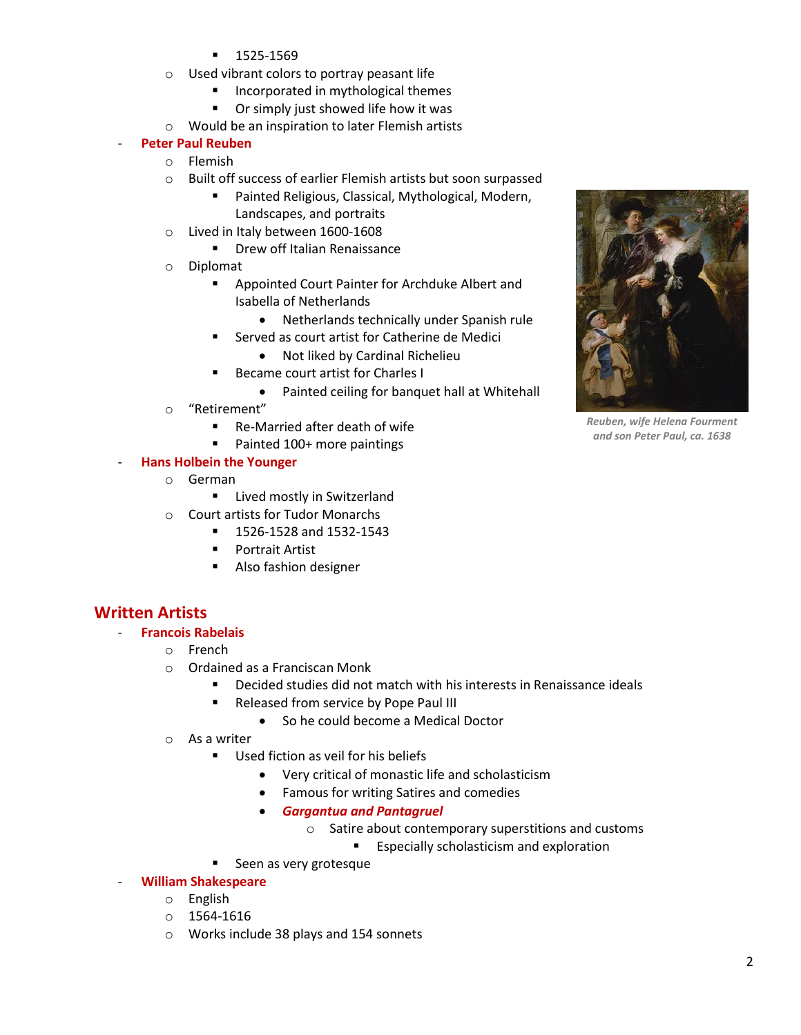- $-1525-1569$
- o Used vibrant colors to portray peasant life
	- **Incorporated in mythological themes**
	- **•** Or simply just showed life how it was
- o Would be an inspiration to later Flemish artists

#### - **Peter Paul Reuben**

- o Flemish
- o Built off success of earlier Flemish artists but soon surpassed
	- **Painted Religious, Classical, Mythological, Modern,** 
		- Landscapes, and portraits
- o Lived in Italy between 1600-1608
	- **Drew off Italian Renaissance**
- o Diplomat
	- **EXEC** Appointed Court Painter for Archduke Albert and Isabella of Netherlands
		- Netherlands technically under Spanish rule
		- Served as court artist for Catherine de Medici
			- Not liked by Cardinal Richelieu
	- **Became court artist for Charles I** 
		- Painted ceiling for banquet hall at Whitehall
- o "Retirement"
	- Re-Married after death of wife
	- Painted 100+ more paintings

#### - **Hans Holbein the Younger**

- o German
	- **E** Lived mostly in Switzerland
- o Court artists for Tudor Monarchs
	- **1526-1528 and 1532-1543** 
		- **Portrait Artist**
		- Also fashion designer

### **Written Artists**

- **Francois Rabelais**
	- o French
	- o Ordained as a Franciscan Monk
		- Decided studies did not match with his interests in Renaissance ideals
		- **Released from service by Pope Paul III** 
			- So he could become a Medical Doctor
	- o As a writer
		- Used fiction as veil for his beliefs
			- Very critical of monastic life and scholasticism
			- Famous for writing Satires and comedies
			- *Gargantua and Pantagruel*
				- o Satire about contemporary superstitions and customs
					- **Expecially scholasticism and exploration**
		- Seen as very grotesque
	- **William Shakespeare**
		- o English
		- o 1564-1616
		- o Works include 38 plays and 154 sonnets



*Reuben, wife Helena Fourment and son Peter Paul, ca. 1638*